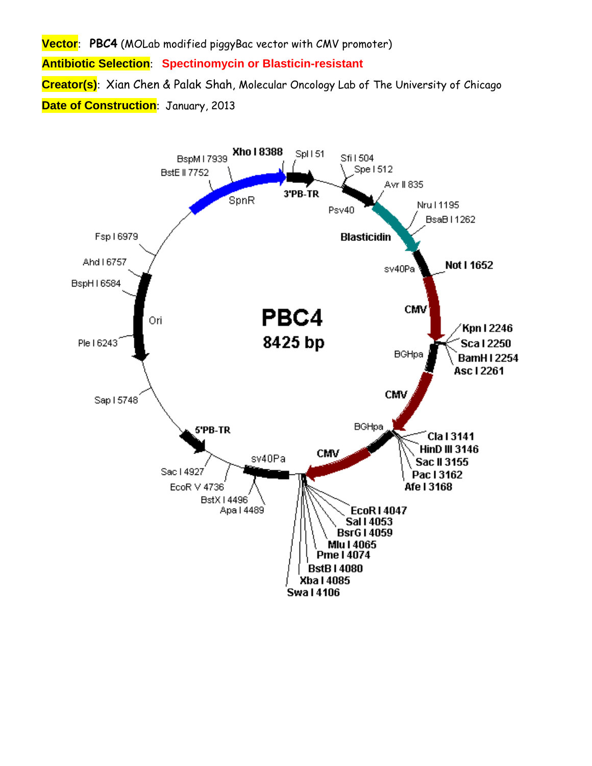**Vector**: **PBC4** (MOLab modified piggyBac vector with CMV promoter) **Antibiotic Selection**: **Spectinomycin or Blasticin-resistant Creator(s)**: Xian Chen & Palak Shah, Molecular Oncology Lab of The University of Chicago **Date of Construction**: January, 2013

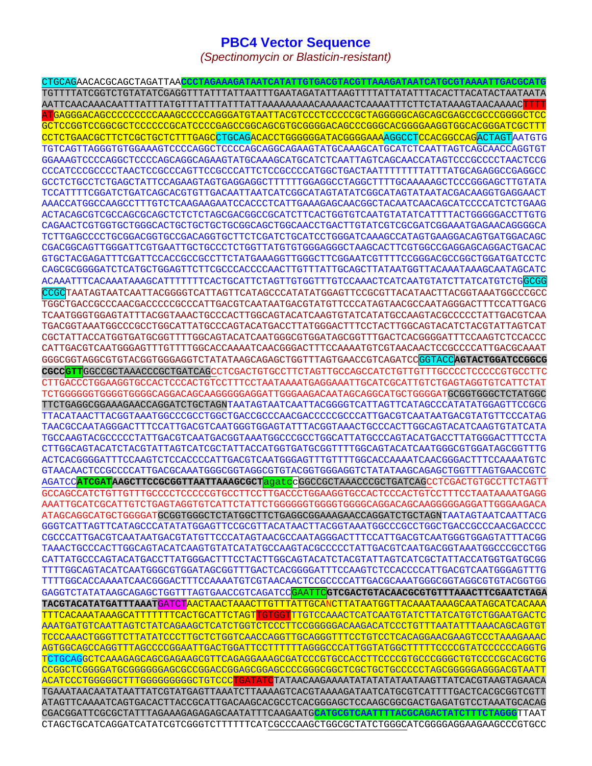## **PBC4 Vector Sequence**

*(Spectinomycin or Blasticin-resistant)* 

CTGCAGAACACGCAGCTAGATTAA**CCCTAGAAAGATAATCATATTGTGACGTACGTTAAAGATAATCATGCGTAAAATTGACGCATG** TGTTTTATCGGTCTGTATATCGAGGTTTATTTATTAATTTGAATAGATATTAAGTTTTATTATATTTACACTTACATACTAATAATA AATTCAACAAACAATTTATTTATGTTTATTTATTTATTAAAAAAAAACAAAAACTCAAAATTTCTTCTATAAAGTAACAAAACTTTT ATGAGGGACAGCCCCCCCCCAAAGCCCCCAGGGATGTAATTACGTCCCTCCCCCGCTAGGGGGCAGCAGCGAGCCGCCCGGGGCTCC GCTCCGGTCCGGCGCTCCCCCCGCATCCCCGAGCCGGCAGCGTGCGGGGACAGCCCGGGCACGGGGAAGGTGGCACGGGATCGCTTT CCTCTGAACGCTTCTCGCTGCTCTTTGAGCCTGCAGACACCTGGGGGGATACGGGGAAAAGGCCTCCACGGCCAGACTAGTAATGTG TGTCAGTTAGGGTGTGGAAAGTCCCCAGGCTCCCCAGCAGGCAGAAGTATGCAAAGCATGCATCTCAATTAGTCAGCAACCAGGTGT GGAAAGTCCCCAGGCTCCCCAGCAGGCAGAAGTATGCAAAGCATGCATCTCAATTAGTCAGCAACCATAGTCCCGCCCCTAACTCCG CCCATCCCGCCCCTAACTCCGCCCAGTTCCGCCCATTCTCCGCCCCATGGCTGACTAATTTTTTTTATTTATGCAGAGGCCGAGGCC GCCTCTGCCTCTGAGCTATTCCAGAAGTAGTGAGGAGGCTTTTTTGGAGGCCTAGGCTTTTGCAAAAAGCTCCCGGGAGCTTGTATA TCCATTTTCGGATCTGATCAGCACGTGTTGACAATTAATCATCGGCATAGTATATCGGCATAGTATAATACGACAAGGTGAGGAACT AAACCATGGCCAAGCCTTTGTCTCAAGAAGAATCCACCCTCATTGAAAGAGCAACGGCTACAATCAACAGCATCCCCATCTCTGAAG ACTACAGCGTCGCCAGCGCAGCTCTCTCTAGCGACGGCCGCATCTTCACTGGTGTCAATGTATATCATTTTACTGGGGGACCTTGTG CAGAACTCGTGGTGCTGGGCACTGCTGCTGCTGCGGCAGCTGGCAACCTGACTTGTATCGTCGCGATCGGAAATGAGAACAGGGGCA TCTTGAGCCCCTGCGGACGGTGCCGACAGGTGCTTCTCGATCTGCATCCTGGGATCAAAGCCATAGTGAAGGACAGTGATGGACAGC CGACGGCAGTTGGGATTCGTGAATTGCTGCCCTCTGGTTATGTGTGGGAGGGCTAAGCACTTCGTGGCCGAGGAGCAGGACTGACAC GTGCTACGAGATTTCGATTCCACCGCCGCCTTCTATGAAAGGTTGGGCTTCGGAATCGTTTTCCGGGACGCCGGCTGGATGATCCTC CAGCGCGGGGATCTCATGCTGGAGTTCTTCGCCCACCCCAACTTGTTTATTGCAGCTTATAATGGTTACAAATAAAGCAATAGCATC ACAAATTTCACAAATAAAGCATTTTTTTCACTGCATTCTAGTTGTGGTTTGTCCAAACTCATCAATGTATCTTATCATGTCTGGCGG CCGCTAATAGTAATCAATTACGGGGTCATTAGTTCATAGCCCATATATGGAGTTCCGCGTTACATAACTTACGGTAAATGGCCCGCC TGGCTGACCGCCCAACGACCCCCGCCCATTGACGTCAATAATGACGTATGTTCCCATAGTAACGCCAATAGGGACTTTCCATTGACG TCAATGGGTGGAGTATTTACGGTAAACTGCCCACTTGGCAGTACATCAAGTGTATCATATGCCAAGTACGCCCCCTATTGACGTCAA TGACGGTAAATGGCCCGCCTGGCATTATGCCCAGTACATGACCTTATGGGACTTTCCTACTTGGCAGTACATCTACGTATTAGTCAT CGCTATTACCATGGTGATGCGGTTTTGGCAGTACATCAATGGGCGTGGATAGCGGTTTGACTCACGGGGATTTCCAAGTCTCCACCC CATTGACGTCAATGGGAGTTTGTTTTGGCACCAAAATCAACGGGACTTTCCAAAATGTCGTAACAACTCCGCCCCATTGACGCAAAT GGGCGGTAGGCGTGTACGGTGGGAGGTCTATATAAGCAGAGCTGGTTTAGTGAACCGTCAGATCCGGTACC**AGTACTGGATCCGGCG CGCCGTT**GGCCGCTAAACCCGCTGATCAGCCTCGACTGTGCCTTCTAGTTGCCAGCCATCTGTTGTTTGCCCCTCCCCCGTGCCTTC CTTGACCCTGGAAGGTGCCACTCCCACTGTCCTTTCCTAATAAAATGAGGAAATTGCATCGCATTGTCTGAGTAGGTGTCATTCTAT TCTGGGGGGTGGGGTGGGGCAGGACAGCAAGGGGGAGGATTGGGAAGACAATAGCAGGCATGCTGGGGATGCGGTGGGCTCTATGGC TTCTGAGGCGGAAAGAACCAGGATCTGCTAGNTAATAGTAATCAATTACGGGGTCATTAGTTCATAGCCCATATATGGAGTTCCGCG TTACATAACTTACGGTAAATGGCCCGCCTGGCTGACCGCCCAACGACCCCCGCCCATTGACGTCAATAATGACGTATGTTCCCATAG TAACGCCAATAGGGACTTTCCATTGACGTCAATGGGTGGAGTATTTACGGTAAACTGCCCACTTGGCAGTACATCAAGTGTATCATA TGCCAAGTACGCCCCCTATTGACGTCAATGACGGTAAATGGCCCGCCTGGCATTATGCCCAGTACATGACCTTATGGGACTTTCCTA CTTGGCAGTACATCTACGTATTAGTCATCGCTATTACCATGGTGATGCGGTTTTGGCAGTACATCAATGGGCGTGGATAGCGGTTTG ACTCACGGGGATTTCCAAGTCTCCACCCCATTGACGTCAATGGGAGTTTGTTTTGGCACCAAAATCAACGGGACTTTCCAAAATGTC GTAACAACTCCGCCCCATTGACGCAAATGGGCGGTAGGCGTGTACGGTGGGAGGTCTATATAAGCAGAGCTGGTTTAGTGAACCGTC AGATCC**ATCGATAAGCTTCCGCGGTTAATTAAAGCGCT**agatccGGCCGCTAAACCCGCTGATCAGCCTCGACTGTGCCTTCTAGTT GCCAGCCATCTGTTGTTTGCCCCTCCCCCGTGCCTTCCTTGACCCTGGAAGGTGCCACTCCCACTGTCCTTTCCTAATAAAATGAGG AAATTGCATCGCATTGTCTGAGTAGGTGTCATTCTATTCTGGGGGGTGGGGTGGGGCAGGACAGCAAGGGGGAGGATTGGGAAGACA ATAGCAGGCATGCTGGGGATGCGGTGGGCTCTATGGCTTCTGAGGCGGAAAGAACCAGGATCTGCTAGNTAATAGTAATCAATTACG GGGTCATTAGTTCATAGCCCATATATGGAGTTCCGCGTTACATAACTTACGGTAAATGGCCCGCCTGGCTGACCGCCCAACGACCCC CGCCCATTGACGTCAATAATGACGTATGTTCCCATAGTAACGCCAATAGGGACTTTCCATTGACGTCAATGGGTGGAGTATTTACGG TAAACTGCCCACTTGGCAGTACATCAAGTGTATCATATGCCAAGTACGCCCCCTATTGACGTCAATGACGGTAAATGGCCCGCCTGG CATTATGCCCAGTACATGACCTTATGGGACTTTCCTACTTGGCAGTACATCTACGTATTAGTCATCGCTATTACCATGGTGATGCGG TTTTGGCAGTACATCAATGGGCGTGGATAGCGGTTTGACTCACGGGGATTTCCAAGTCTCCACCCCATTGACGTCAATGGGAGTTTG TTTTGGCACCAAAATCAACGGGACTTTCCAAAATGTCGTAACAACTCCGCCCCATTGACGCAAATGGGCGGTAGGCGTGTACGGTGG GAGGTCTATATAAGCAGAGCTGGTTTAGTGAACCGTCAGATCCGAATTC**GTCGACTGTACAACGCGTGTTTAAACTTCGAATCTAGA TACGTACATATGATTTAAAT**GATCTAACTAACTAAACTTGTTTATTGCANCTTATAATGGTTACAAATAAAGCAATAGCATCACAAA TTTCACAAATAAAGCATTTTTTTCACTGCATTCTAGTTGTGGTTTGTCCAAACTCATCAATGTATCTTATCATGTCTGGAATGACTC AAATGATGTCAATTAGTCTATCAGAAGCTCATCTGGTCTCCCTTCCGGGGGACAAGACATCCCTGTTTAATATTTAAACAGCAGTGT TCCCAAACTGGGTTCTTATATCCCTTGCTCTGGTCAACCAGGTTGCAGGGTTTCCTGTCCTCACAGGAACGAAGTCCCTAAAGAAAC AGTGGCAGCCAGGTTTAGCCCCGGAATTGACTGGATTCCTTTTTTAGGGCCCATTGGTATGGCTTTTTCCCCGTATCCCCCCAGGTG TCTGCAGGCTCAAAGAGCAGCGAGAAGCGTTCAGAGGAAAGCGATCCCGTGCCACCTTCCCCGTGCCCGGGCTGTCCCCGCACGCTG CCGGCTCGGGGATGCGGGGGGAGCGCCGGACCGGAGCGGAGCCCCGGGCGGCTCGCTGCTGCCCCCTAGCGGGGGAGGGACGTAATT ACATCCCTGGGGGCTTTGGGGGGGGGCTGTCCCTGATATCTATAACAAGAAAATATATATATAATAAGTTATCACGTAAGTAGAACA TGAAATAACAATATAATTATCGTATGAGTTAAATCTTAAAAGTCACGTAAAAGATAATCATGCGTCATTTTGACTCACGCGGTCGTT ATAGTTCAAAATCAGTGACACTTACCGCATTGACAAGCACGCCTCACGGGAGCTCCAAGCGGCGACTGAGATGTCCTAAATGCACAG CGACGGATTCGCGCTATTTAGAAAGAGAGAGCAATATTTCAAGAATG**CATGCGTCAATTTTACGCAGACTATCTTTCTAGGG**TTAAT CTAGCTGCATCAGGATCATATCGTCGGGTCTTTTTTCATCGCCCAAGCTGGCGCTATCTGGGCATCGGGGAGGAAGAAGCCCGTGCC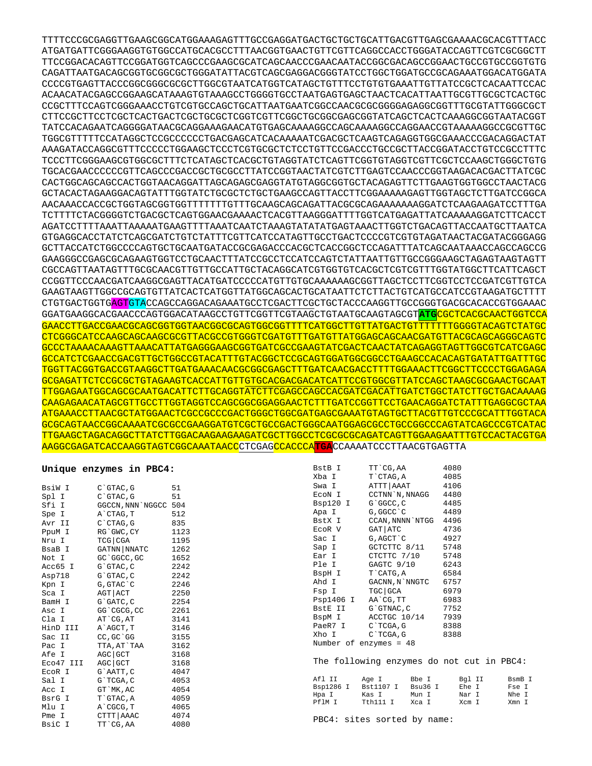TTTTCCCGCGAGGTTGAAGCGGCATGGAAAGAGTTTGCCGAGGATGACTGCTGCTGCATTGACGTTGAGCGAAAACGCACGTTTACC ATGATGATTCGGGAAGGTGTGGCCATGCACGCCTTTAACGGTGAACTGTTCGTTCAGGCCACCTGGGATACCAGTTCGTCGCGGCTT TTCCGGACACAGTTCCGGATGGTCAGCCCGAAGCGCATCAGCAACCCGAACAATACCGGCGACAGCCGGAACTGCCGTGCCGGTGTG CAGATTAATGACAGCGGTGCGGCGCTGGGATATTACGTCAGCGAGGACGGGTATCCTGGCTGGATGCCGCAGAAATGGACATGGATA CCCCGTGAGTTACCCGGCGGGCGCGCTTGGCGTAATCATGGTCATAGCTGTTTCCTGTGTGAAATTGTTATCCGCTCACAATTCCAC ACAACATACGAGCCGGAAGCATAAAGTGTAAAGCCTGGGGTGCCTAATGAGTGAGCTAACTCACATTAATTGCGTTGCGCTCACTGC CCGCTTTCCAGTCGGGAAACCTGTCGTGCCAGCTGCATTAATGAATCGGCCAACGCGCGGGGAGAGGCGGTTTGCGTATTGGGCGCT CTTCCGCTTCCTCGCTCACTGACTCGCTGCGCTCGGTCGTTCGGCTGCGGCGAGCGGTATCAGCTCACTCAAAGGCGGTAATACGGT TATCCACAGAATCAGGGGATAACGCAGGAAAGAACATGTGAGCAAAAGGCCAGCAAAAGGCCAGGAACCGTAAAAAGGCCGCGTTGC TGGCGTTTTTCCATAGGCTCCGCCCCCCTGACGAGCATCACAAAAATCGACGCTCAAGTCAGAGGTGGCGAAACCCGACAGGACTAT AAAGATACCAGGCGTTTCCCCCTGGAAGCTCCCTCGTGCGCTCTCCTGTTCCGACCCTGCCGCTTACCGGATACCTGTCCGCCTTTC TCCCTTCGGGAAGCGTGGCGCTTTCTCATAGCTCACGCTGTAGGTATCTCAGTTCGGTGTAGGTCGTTCGCTCCAAGCTGGGCTGTG TGCACGAACCCCCCGTTCAGCCCGACCGCTGCGCCTTATCCGGTAACTATCGTCTTGAGTCCAACCCGGTAAGACACGACTTATCGC CACTGGCAGCAGCCACTGGTAACAGGATTAGCAGAGCGAGGTATGTAGGCGGTGCTACAGAGTTCTTGAAGTGGTGGCCTAACTACG GCTACACTAGAAGGACAGTATTTGGTATCTGCGCTCTGCTGAAGCCAGTTACCTTCGGAAAAAGAGTTGGTAGCTCTTGATCCGGCA AACAAACCACCGCTGGTAGCGGTGGTTTTTTTGTTTGCAAGCAGCAGATTACGCGCAGAAAAAAAGGATCTCAAGAAGATCCTTTGA TCTTTTCTACGGGGTCTGACGCTCAGTGGAACGAAAACTCACGTTAAGGGATTTTGGTCATGAGATTATCAAAAAGGATCTTCACCT AGATCCTTTTAAATTAAAAATGAAGTTTTAAATCAATCTAAAGTATATATGAGTAAACTTGGTCTGACAGTTACCAATGCTTAATCA GTGAGGCACCTATCTCAGCGATCTGTCTATTTCGTTCATCCATAGTTGCCTGACTCCCCGTCGTGTAGATAACTACGATACGGGAGG GCTTACCATCTGGCCCCAGTGCTGCAATGATACCGCGAGACCCACGCTCACCGGCTCCAGATTTATCAGCAATAAACCAGCCAGCCG GAAGGGCCGAGCGCAGAAGTGGTCCTGCAACTTTATCCGCCTCCATCCAGTCTATTAATTGTTGCCGGGAAGCTAGAGTAAGTAGTT CGCCAGTTAATAGTTTGCGCAACGTTGTTGCCATTGCTACAGGCATCGTGGTGTCACGCTCGTCGTTTGGTATGGCTTCATTCAGCT CCGGTTCCCAACGATCAAGGCGAGTTACATGATCCCCCATGTTGTGCAAAAAAGCGGTTAGCTCCTTCGGTCCTCCGATCGTTGTCA GAAGTAAGTTGGCCGCAGTGTTATCACTCATGGTTATGGCAGCACTGCATAATTCTCTTACTGTCATGCCATCCGTAAGATGCTTTT CTGTGACTGGTGAGTGTACCAGCCAGGACAGAAATGCCTCGACTTCGCTGCTACCCAAGGTTGCCGGGTGACGCACACCGTGGAAAC GGATGAAGGCACGAACCCAGTGGACATAAGCCTGTTCGGTTCGTAAGCTGTAATGCAAGTAGCGT**ATG**CGCTCACGCAACTGGTCCA GAACCTTGACCGAACGCAGCGGTGGTAACGGCGCAGTGGCGGTTTTCATGGCTTGTTATGACTGTTTTTTTGGGGTACAGTCTATGC CTCGGGCATCCAAGCAGCAAGCGCGTTACGCCGTGGGTCGATGTTTGATGTTATGGAGCAGCAACGATGTTACGCAGCAGGGCAGTC GCCCTAAAACAAAGTTAAACATTATGAGGGAAGCGGTGATCGCCGAAGTATCGACTCAACTATCAGAGGTAGTTGGCGTCATCGAGC GCCATCTCGAACCGACGTTGCTGGCCGTACATTTGTACGGCTCCGCAGTGGATGGCGGCCTGAAGCCACACAGTGATATTGATTTGC TGGTTACGGTGACCGTAAGGCTTGATGAAACAACGCGGCGAGCTTTGATCAACGACCTTTTGGAAACTTCGGCTTCCCCTGGAGAGA GCGAGATTCTCCGCGCTGTAGAAGTCACCATTGTTGTGCACGACGACATCATTCCGTGGCGTTATCCAGCTAAGCGCGAACTGCAAT TTGGAGAATGGCAGCGCAATGACATTCTTGCAGGTATCTTCGAGCCAGCCACGATCGACATTGATCTGGCTATCTTGCTGACAAAAG CAAGAGAACATAGCGTTGCCTTGGTAGGTCCAGCGGCGGAGGAACTCTTTGATCCGGTTCCTGAACAGGATCTATTTGAGGCGCTAA ATGAAACCTTAACGCTATGGAACTCGCCGCCCGACTGGGCTGGCGATGAGCGAAATGTAGTGCTTACGTTGTCCCGCATTTGGTACA GCGCAGTAACCGGCAAAATCGCGCCGAAGGATGTCGCTGCCGACTGGGCAATGGAGCGCCTGCCGGCCCAGTATCAGCCCGTCATAC TTGAAGCTAGACAGGCTTATCTTGGACAAGAAGAAGATCGCTTGGCCTCGCGCGCAGATCAGTTGGAAGAATTTGTCCACTACGTGA AAGGCGAGATCACCAAGGTAGTCGGCAAATAACCCTCGAGCCACCCA**TGA**CCAAAATCCCTTAACGTGAGTTA

## **Unique enzymes in PBC4:**

| BsiW I    | C`GTAC, G        | 51   |
|-----------|------------------|------|
| Spl I     | $C$ $GTAC$ , $G$ | 51   |
| Sfi I     | GGCCN, NNN`NGGCC | 504  |
| Spe I     | A`CTAG, T        | 512  |
| Avr II    | $C$ $CTAG$ , $G$ | 835  |
| PpuM I    | RG`GWC, CY       | 1123 |
| Nru I     | $TCG$ $CGA$      | 1195 |
| BsaB I    | GATNN NNATC      | 1262 |
| Not I     | GC`GGCC,GC       | 1652 |
| Acc65 I   | G`GTAC, C        | 2242 |
| Asp718    | G`GTAC, C        | 2242 |
| Kpn I     | G, GTAC`C        | 2246 |
| Sca I     | AGT   ACT        | 2250 |
| BamH I    | G`GATC, C        | 2254 |
| Asc I     | GG`CGCG, CC      | 2261 |
| Cla I     | AT CG, AT        | 3141 |
| HinD III  | A`AGCT, T        | 3146 |
| Sac II    | CC, GC `GG       | 3155 |
| Pac I     | TTA, AT`TAA      | 3162 |
| Afe I     | AGC GCT          | 3168 |
| Eco47 III | AGC GCT          | 3168 |
| EcoR I    | G`AATT, C        | 4047 |
| Sal I     | G`TCGA, C        | 4053 |
| Acc I     | GT`MK,AC         | 4054 |
| BsrG I    | T`GTAC, A        | 4059 |
| Mlu I     | A`CGCG, T        | 4065 |
| Pme I     | CTTT AAAC        | 4074 |
| BsiC I    | TT `CG, AA       | 4080 |

| BstB I                 | TT`CG,AA        | 4080 |
|------------------------|-----------------|------|
| Xba I                  | T CTAG, A       | 4085 |
| Swa I                  | ATTT   AAAT     | 4106 |
| EcoN I                 | CCTNN`N, NNAGG  | 4480 |
| Bsp120 I               | G`GGCC, C       | 4485 |
| Apa I                  | G, GGCC `C      | 4489 |
| BstX I                 | CCAN, NNNN`NTGG | 4496 |
| ECOR V                 | GAT ATC         | 4736 |
| Sac I                  | G, AGCT C       | 4927 |
| Sap I                  | GCTCTTC 8/11    | 5748 |
| Ear I                  | CTCTTC 7/10     | 5748 |
| Ple I                  | GAGTC 9/10      | 6243 |
| BspH I                 | T CATG, A       | 6584 |
| Ahd I                  | GACNN, N`NNGTC  | 6757 |
| Fsp I                  | TGC GCA         | 6979 |
| Psp1406 I              | AA`CG, TT       | 6983 |
| BstE II                | G`GTNAC, C      | 7752 |
| BspM I                 | ACCTGC 10/14    | 7939 |
| PaeR7 I                | C`TCGA, G       | 8388 |
| Xho I                  | C`TCGA, G       | 8388 |
| Number of enzymes = 48 |                 |      |
|                        |                 |      |

The following enzymes do not cut in PBC4:

| Afl TT    | Age I     | Bbe T     | Bal II  | BsmB T |
|-----------|-----------|-----------|---------|--------|
| Bsp1286 I | Bst1107 T | $Bsu36$ T | Ehe T   | Fse I  |
| Hpa I     | Kas I     | Mun T     | Nar T   | Nhe T  |
| PflM T    | Tth 111 T | Xca I     | $Xcm$ T | Xmn T  |

PBC4: sites sorted by name: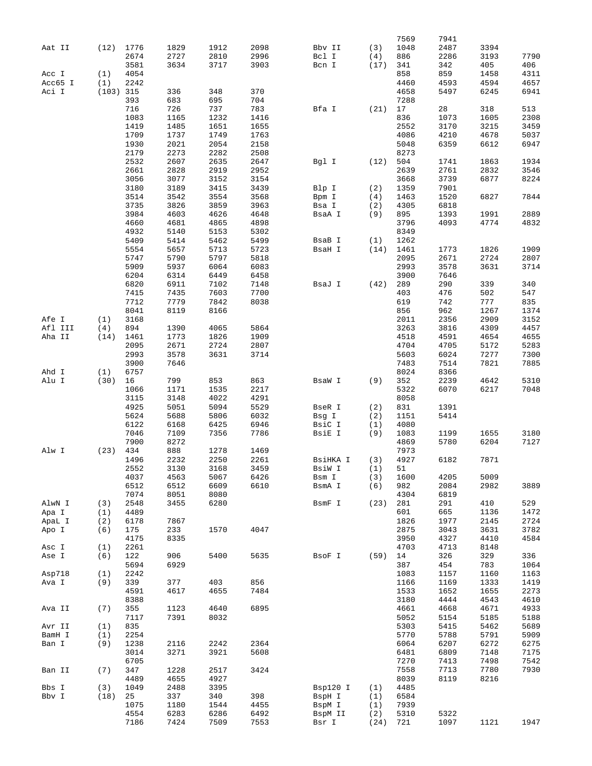|         |             |      |      |      |      |          |      | 7569 | 7941 |      |      |
|---------|-------------|------|------|------|------|----------|------|------|------|------|------|
| Aat II  | (12)        | 1776 | 1829 | 1912 | 2098 | Bbv II   | (3)  | 1048 | 2487 | 3394 |      |
|         |             | 2674 | 2727 | 2810 | 2996 | Bcl I    | (4)  | 886  | 2286 | 3193 | 7790 |
|         |             | 3581 | 3634 | 3717 | 3903 | Bcn I    | (17) | 341  | 342  | 405  | 406  |
| Acc I   | (1)         | 4054 |      |      |      |          |      | 858  | 859  | 1458 | 4311 |
| Acc65 I | (1)         | 2242 |      |      |      |          |      | 4460 | 4593 | 4594 | 4657 |
| Aci I   |             |      |      |      | 370  |          |      |      |      | 6245 | 6941 |
|         | $(103)$ 315 |      | 336  | 348  |      |          |      | 4658 | 5497 |      |      |
|         |             | 393  | 683  | 695  | 704  |          |      | 7288 |      |      |      |
|         |             | 716  | 726  | 737  | 783  | Bfa I    | (21) | 17   | 28   | 318  | 513  |
|         |             | 1083 | 1165 | 1232 | 1416 |          |      | 836  | 1073 | 1605 | 2308 |
|         |             | 1419 | 1485 | 1651 | 1655 |          |      | 2552 | 3170 | 3215 | 3459 |
|         |             | 1709 | 1737 | 1749 | 1763 |          |      | 4086 | 4210 | 4678 | 5037 |
|         |             | 1930 | 2021 | 2054 | 2158 |          |      | 5048 | 6359 | 6612 | 6947 |
|         |             | 2179 | 2273 | 2282 | 2508 |          |      | 8273 |      |      |      |
|         |             | 2532 | 2607 | 2635 | 2647 | Bgl I    | (12) | 504  | 1741 | 1863 | 1934 |
|         |             | 2661 | 2828 | 2919 | 2952 |          |      | 2639 | 2761 | 2832 | 3546 |
|         |             | 3056 | 3077 | 3152 | 3154 |          |      | 3668 | 3739 | 6877 | 8224 |
|         |             | 3180 | 3189 | 3415 | 3439 | Blp I    | (2)  | 1359 | 7901 |      |      |
|         |             | 3514 | 3542 | 3554 | 3568 | Bpm I    | (4)  | 1463 | 1520 | 6827 | 7844 |
|         |             | 3735 | 3826 | 3859 | 3963 | Bsa I    | (2)  | 4305 | 6818 |      |      |
|         |             | 3984 | 4603 | 4626 | 4648 | BsaA I   | (9)  | 895  | 1393 | 1991 | 2889 |
|         |             | 4660 | 4681 | 4865 | 4898 |          |      | 3796 | 4093 | 4774 | 4832 |
|         |             | 4932 | 5140 | 5153 | 5302 |          |      | 8349 |      |      |      |
|         |             | 5409 | 5414 | 5462 | 5499 | BsaB I   | (1)  | 1262 |      |      |      |
|         |             |      |      |      |      | BsaH I   |      |      |      |      |      |
|         |             | 5554 | 5657 | 5713 | 5723 |          | (14) | 1461 | 1773 | 1826 | 1909 |
|         |             | 5747 | 5790 | 5797 | 5818 |          |      | 2095 | 2671 | 2724 | 2807 |
|         |             | 5909 | 5937 | 6064 | 6083 |          |      | 2993 | 3578 | 3631 | 3714 |
|         |             | 6204 | 6314 | 6449 | 6458 |          |      | 3900 | 7646 |      |      |
|         |             | 6820 | 6911 | 7102 | 7148 | BsaJ I   | (42) | 289  | 290  | 339  | 340  |
|         |             | 7415 | 7435 | 7603 | 7700 |          |      | 403  | 476  | 502  | 547  |
|         |             | 7712 | 7779 | 7842 | 8038 |          |      | 619  | 742  | 777  | 835  |
|         |             | 8041 | 8119 | 8166 |      |          |      | 856  | 962  | 1267 | 1374 |
| Afe I   | (1)         | 3168 |      |      |      |          |      | 2011 | 2356 | 2909 | 3152 |
| Afl III | (4)         | 894  | 1390 | 4065 | 5864 |          |      | 3263 | 3816 | 4309 | 4457 |
| Aha II  | (14)        | 1461 | 1773 | 1826 | 1909 |          |      | 4518 | 4591 | 4654 | 4655 |
|         |             | 2095 | 2671 | 2724 | 2807 |          |      | 4704 | 4705 | 5172 | 5283 |
|         |             | 2993 | 3578 | 3631 | 3714 |          |      | 5603 | 6024 | 7277 | 7300 |
|         |             | 3900 | 7646 |      |      |          |      | 7483 | 7514 | 7821 | 7885 |
|         |             |      |      |      |      |          |      |      |      |      |      |
| Ahd I   | (1)         | 6757 |      |      |      |          |      | 8024 | 8366 |      |      |
| Alu I   | (30)        | 16   | 799  | 853  | 863  | BsaW I   | (9)  | 352  | 2239 | 4642 | 5310 |
|         |             | 1066 | 1171 | 1535 | 2217 |          |      | 5322 | 6070 | 6217 | 7048 |
|         |             | 3115 | 3148 | 4022 | 4291 |          |      | 8058 |      |      |      |
|         |             | 4925 | 5051 | 5094 | 5529 | BseR I   | (2)  | 831  | 1391 |      |      |
|         |             | 5624 | 5688 | 5806 | 6032 | Bsg I    | (2)  | 1151 | 5414 |      |      |
|         |             | 6122 | 6168 | 6425 | 6946 | BsiC I   | (1)  | 4080 |      |      |      |
|         |             | 7046 | 7109 | 7356 | 7786 | BsiE I   | (9)  | 1083 | 1199 | 1655 | 3180 |
|         |             | 7900 | 8272 |      |      |          |      | 4869 | 5780 | 6204 | 7127 |
| Alw I   | (23)        | 434  | 888  | 1278 | 1469 |          |      | 7973 |      |      |      |
|         |             | 1496 | 2232 | 2250 | 2261 | BsiHKA I | (3)  | 4927 | 6182 | 7871 |      |
|         |             | 2552 | 3130 | 3168 | 3459 | BsiW I   | (1)  | 51   |      |      |      |
|         |             | 4037 | 4563 | 5067 | 6426 | Bsm I    | (3)  | 1600 | 4205 | 5009 |      |
|         |             | 6512 | 6512 | 6609 | 6610 | BsmA I   | (6)  | 982  | 2084 | 2982 | 3889 |
|         |             | 7074 | 8051 | 8080 |      |          |      | 4304 | 6819 |      |      |
| AlwN I  | (3)         | 2548 | 3455 | 6280 |      | BsmF I   | (23) | 281  | 291  | 410  | 529  |
| Apa I   | (1)         | 4489 |      |      |      |          |      | 601  | 665  | 1136 | 1472 |
|         |             |      |      |      |      |          |      |      | 1977 | 2145 |      |
| ApaL I  | (2)         | 6178 | 7867 |      |      |          |      | 1826 |      |      | 2724 |
| Apo I   | (6)         | 175  | 233  | 1570 | 4047 |          |      | 2875 | 3043 | 3631 | 3782 |
|         |             | 4175 | 8335 |      |      |          |      | 3950 | 4327 | 4410 | 4584 |
| Asc I   | (1)         | 2261 |      |      |      |          |      | 4703 | 4713 | 8148 |      |
| Ase I   | (6)         | 122  | 906  | 5400 | 5635 | BsoF I   | (59) | 14   | 326  | 329  | 336  |
|         |             | 5694 | 6929 |      |      |          |      | 387  | 454  | 783  | 1064 |
| Asp718  | (1)         | 2242 |      |      |      |          |      | 1083 | 1157 | 1160 | 1163 |
| Ava I   | (9)         | 339  | 377  | 403  | 856  |          |      | 1166 | 1169 | 1333 | 1419 |
|         |             | 4591 | 4617 | 4655 | 7484 |          |      | 1533 | 1652 | 1655 | 2273 |
|         |             | 8388 |      |      |      |          |      | 3180 | 4444 | 4543 | 4610 |
| Ava II  | (7)         | 355  | 1123 | 4640 | 6895 |          |      | 4661 | 4668 | 4671 | 4933 |
|         |             | 7117 | 7391 | 8032 |      |          |      | 5052 | 5154 | 5185 | 5188 |
| Avr II  | (1)         | 835  |      |      |      |          |      | 5303 | 5415 | 5462 | 5689 |
| BamH I  | (1)         | 2254 |      |      |      |          |      | 5770 | 5788 | 5791 | 5909 |
| Ban I   | (9)         | 1238 | 2116 | 2242 | 2364 |          |      | 6064 | 6207 | 6272 | 6275 |
|         |             |      |      |      |      |          |      |      |      |      |      |
|         |             | 3014 | 3271 | 3921 | 5608 |          |      | 6481 | 6809 | 7148 | 7175 |
|         |             | 6705 |      |      |      |          |      | 7270 | 7413 | 7498 | 7542 |
| Ban II  | (7)         | 347  | 1228 | 2517 | 3424 |          |      | 7558 | 7713 | 7780 | 7930 |
|         |             | 4489 | 4655 | 4927 |      |          |      | 8039 | 8119 | 8216 |      |
| Bbs I   | (3)         | 1049 | 2488 | 3395 |      | Bsp120 I | (1)  | 4485 |      |      |      |
| Bbv I   | (18)        | 25   | 337  | 340  | 398  | BspH I   | (1)  | 6584 |      |      |      |
|         |             | 1075 | 1180 | 1544 | 4455 | BspM I   | (1)  | 7939 |      |      |      |
|         |             | 4554 | 6283 | 6286 | 6492 | BspM II  | (2)  | 5310 | 5322 |      |      |
|         |             | 7186 | 7424 | 7509 | 7553 | Bsr I    | (24) | 721  | 1097 | 1121 | 1947 |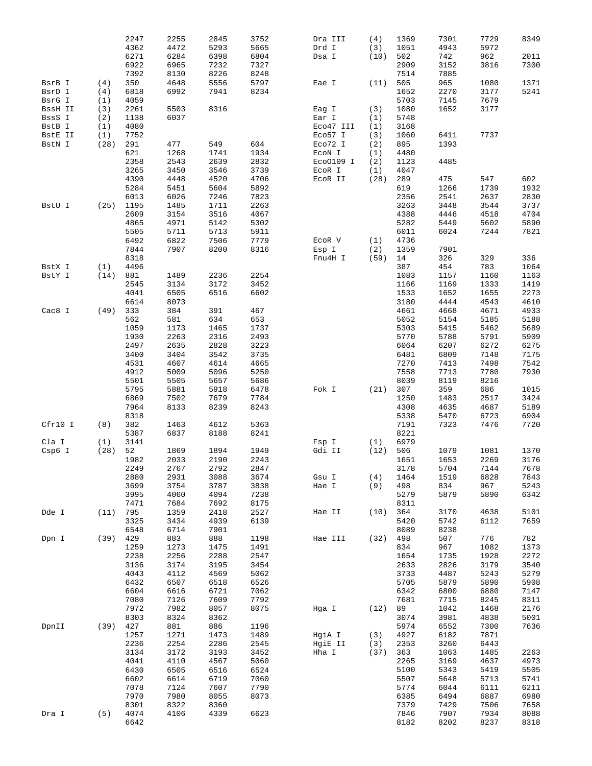|         |      | 2247         | 2255 | 2845 | 3752 | Dra III   | (4)  | 1369         | 7301         | 7729         | 8349         |
|---------|------|--------------|------|------|------|-----------|------|--------------|--------------|--------------|--------------|
|         |      |              |      |      |      |           |      |              |              |              |              |
|         |      | 4362         | 4472 | 5293 | 5665 | Drd I     | (3)  | 1051         | 4943         | 5972         |              |
|         |      | 6271         | 6284 | 6398 | 6804 | Dsa I     | (10) | 502          | 742          | 962          | 2011         |
|         |      | 6922         | 6965 | 7232 | 7327 |           |      | 2909         | 3152         | 3816         | 7300         |
|         |      |              |      |      |      |           |      |              |              |              |              |
|         |      | 7392         | 8130 | 8226 | 8248 |           |      | 7514         | 7885         |              |              |
| BsrB I  | (4)  | 350          | 4648 | 5556 | 5797 | Eae I     | (11) | 505          | 965          | 1080         | 1371         |
| BsrD I  | (4)  | 6818         | 6992 | 7941 | 8234 |           |      | 1652         | 2270         | 3177         | 5241         |
|         |      |              |      |      |      |           |      |              |              |              |              |
| BsrG I  | (1)  | 4059         |      |      |      |           |      | 5703         | 7145         | 7679         |              |
| BssH II | (3)  | 2261         | 5503 | 8316 |      | Eag I     | (3)  | 1080         | 1652         | 3177         |              |
| BssS I  | (2)  | 1138         | 6037 |      |      | Ear I     | (1)  | 5748         |              |              |              |
|         |      |              |      |      |      |           |      |              |              |              |              |
| BstB I  | (1)  | 4080         |      |      |      | Eco47 III | (1)  | 3168         |              |              |              |
| BstE II | (1)  | 7752         |      |      |      | Eco57 I   | (3)  | 1060         | 6411         | 7737         |              |
| BstN I  | (28) | 291          | 477  | 549  | 604  | Eco72 I   | (2)  | 895          | 1393         |              |              |
|         |      |              |      |      |      |           |      |              |              |              |              |
|         |      | 621          | 1268 | 1741 | 1934 | ECON I    | (1)  | 4480         |              |              |              |
|         |      | 2358         | 2543 | 2639 | 2832 | Eco0109 I | (2)  | 1123         | 4485         |              |              |
|         |      | 3265         | 3450 | 3546 | 3739 | ECOR I    | (1)  | 4047         |              |              |              |
|         |      |              |      |      |      |           |      |              |              |              |              |
|         |      | 4390         | 4448 | 4520 | 4706 | ECOR II   | (28) | 289          | 475          | 547          | 602          |
|         |      | 5284         | 5451 | 5604 | 5892 |           |      | 619          | 1266         | 1739         | 1932         |
|         |      | 6013         | 6026 | 7246 | 7823 |           |      | 2356         | 2541         | 2637         | 2830         |
|         |      |              |      |      |      |           |      |              |              |              |              |
| BstU I  | (25) | 1195         | 1485 | 1711 | 2263 |           |      | 3263         | 3448         | 3544         | 3737         |
|         |      | 2609         | 3154 | 3516 | 4067 |           |      | 4388         | 4446         | 4518         | 4704         |
|         |      | 4865         | 4971 | 5142 | 5302 |           |      | 5282         | 5449         | 5602         | 5890         |
|         |      |              |      |      |      |           |      |              |              |              |              |
|         |      | 5505         | 5711 | 5713 | 5911 |           |      | 6011         | 6024         | 7244         | 7821         |
|         |      | 6492         | 6822 | 7506 | 7779 | ECOR V    | (1)  | 4736         |              |              |              |
|         |      |              |      |      |      |           |      |              |              |              |              |
|         |      | 7844         | 7907 | 8200 | 8316 | Esp I     | (2)  | 1359         | 7901         |              |              |
|         |      | 8318         |      |      |      | Fnu4H I   | (59) | 14           | 326          | 329          | 336          |
| BstX I  | (1)  | 4496         |      |      |      |           |      | 387          | 454          | 783          | 1064         |
|         |      |              |      |      |      |           |      |              |              |              |              |
| BstY I  | (14) | 881          | 1489 | 2236 | 2254 |           |      | 1083         | 1157         | 1160         | 1163         |
|         |      | 2545         | 3134 | 3172 | 3452 |           |      | 1166         | 1169         | 1333         | 1419         |
|         |      | 4041         | 6505 | 6516 | 6602 |           |      | 1533         | 1652         | 1655         | 2273         |
|         |      |              |      |      |      |           |      |              |              |              |              |
|         |      | 6614         | 8073 |      |      |           |      | 3180         | 4444         | 4543         | 4610         |
| Cac8 I  | (49) | 333          | 384  | 391  | 467  |           |      | 4661         | 4668         | 4671         | 4933         |
|         |      | 562          | 581  | 634  | 653  |           |      | 5052         | 5154         | 5185         | 5188         |
|         |      |              |      |      |      |           |      |              |              |              |              |
|         |      | 1059         | 1173 | 1465 | 1737 |           |      | 5303         | 5415         | 5462         | 5689         |
|         |      | 1930         | 2263 | 2316 | 2493 |           |      | 5770         | 5788         | 5791         | 5909         |
|         |      | 2497         | 2635 | 2828 | 3223 |           |      | 6064         | 6207         | 6272         | 6275         |
|         |      |              |      |      |      |           |      |              |              |              |              |
|         |      | 3400         | 3404 | 3542 | 3735 |           |      | 6481         | 6809         | 7148         | 7175         |
|         |      | 4531         | 4607 | 4614 | 4665 |           |      | 7270         | 7413         | 7498         | 7542         |
|         |      |              |      |      |      |           |      |              |              |              | 7930         |
|         |      | 4912         | 5009 | 5096 | 5250 |           |      | 7558         | 7713         | 7780         |              |
|         |      | 5501         | 5505 | 5657 | 5686 |           |      | 8039         | 8119         | 8216         |              |
|         |      | 5795         | 5881 | 5918 | 6478 | Fok I     | (21) | 307          | 359          | 686          | 1015         |
|         |      |              |      |      |      |           |      |              |              |              |              |
|         |      | 6869         | 7502 | 7679 | 7784 |           |      | 1250         | 1483         | 2517         | 3424         |
|         |      | 7964         | 8133 | 8239 | 8243 |           |      | 4308         | 4635         | 4687         | 5189         |
|         |      | 8318         |      |      |      |           |      | 5338         | 5470         | 6723         | 6904         |
|         |      |              |      |      |      |           |      |              |              |              |              |
| Cfr10 I | (8)  | 382          | 1463 | 4612 | 5363 |           |      | 7191         | 7323         | 7476         | 7720         |
|         |      | 5387         | 6837 | 8188 | 8241 |           |      | 8221         |              |              |              |
| Cla I   | (1)  | 3141         |      |      |      | Fsp I     | (1)  | 6979         |              |              |              |
|         |      |              |      |      |      |           |      |              |              |              |              |
| Csp6 I  | (28) | 52           | 1869 | 1894 | 1949 | Gdi II    | (12) | 506          | 1079         | 1081         | 1370         |
|         |      | 1982         | 2033 | 2190 | 2243 |           |      | 1651         | 1653         | 2269         | 3176         |
|         |      | 2249         | 2767 | 2792 | 2847 |           |      | 3178         | 5704         | 7144         | 7678         |
|         |      |              |      |      |      |           |      |              |              |              |              |
|         |      | 2880         | 2931 | 3088 | 3674 | Gsu I     | (4)  | 1464         | 1519         | 6828         | 7843         |
|         |      | 3699         | 3754 | 3787 | 3838 | Hae I     | (9)  | 498          | 834          | 967          | 5243         |
|         |      | 3995         | 4060 | 4094 | 7238 |           |      | 5279         | 5879         | 5890         | 6342         |
|         |      |              |      |      |      |           |      |              |              |              |              |
|         |      | 7471         | 7684 | 7692 | 8175 |           |      | 8311         |              |              |              |
| Dde I   | (11) | 795          | 1359 | 2418 | 2527 | Hae II    | (10) | 364          | 3170         | 4638         | 5101         |
|         |      | 3325         | 3434 | 4939 | 6139 |           |      | 5420         | 5742         | 6112         | 7659         |
|         |      | 6548         | 6714 | 7901 |      |           |      | 8089         | 8238         |              |              |
|         |      |              |      |      |      |           |      |              |              |              |              |
| Dpn I   | (39) | 429          | 883  | 888  | 1198 | Hae III   | (32) | 498          | 507          | 776          | 782          |
|         |      | 1259         | 1273 | 1475 | 1491 |           |      | 834          | 967          | 1082         | 1373         |
|         |      | 2238         | 2256 | 2288 |      |           |      |              | 1735         | 1928         | 2272         |
|         |      |              |      |      |      |           |      |              |              |              |              |
|         |      |              |      |      | 2547 |           |      | 1654         |              |              |              |
|         |      | 3136         | 3174 | 3195 | 3454 |           |      | 2633         | 2826         | 3179         | 3540         |
|         |      | 4043         | 4112 | 4569 | 5062 |           |      | 3733         | 4487         | 5243         | 5279         |
|         |      |              |      |      |      |           |      |              |              |              |              |
|         |      | 6432         | 6507 | 6518 | 6526 |           |      | 5705         | 5879         | 5890         | 5908         |
|         |      | 6604         | 6616 | 6721 | 7062 |           |      | 6342         | 6800         | 6880         | 7147         |
|         |      | 7080         | 7126 | 7609 | 7792 |           |      | 7681         | 7715         | 8245         | 8311         |
|         |      |              |      |      |      |           |      |              |              |              |              |
|         |      | 7972         | 7982 | 8057 | 8075 | Hga I     | (12) | 89           | 1042         | 1468         | 2176         |
|         |      | 8303         | 8324 | 8362 |      |           |      | 3074         | 3981         | 4838         | 5001         |
| DpnII   | (39) | 427          | 881  | 886  | 1196 |           |      | 5974         | 6552         | 7300         | 7636         |
|         |      |              |      |      |      |           |      |              |              |              |              |
|         |      | 1257         | 1271 | 1473 | 1489 | HgiA I    | (3)  | 4927         | 6182         | 7871         |              |
|         |      | 2236         | 2254 | 2286 | 2545 | HgiE II   | (3)  | 2353         | 3260         | 6443         |              |
|         |      |              |      |      |      |           |      |              |              |              |              |
|         |      | 3134         | 3172 | 3193 | 3452 | Hha I     | (37) | 363          | 1063         | 1485         | 2263         |
|         |      | 4041         | 4110 | 4567 | 5060 |           |      | 2265         | 3169         | 4637         | 4973         |
|         |      | 6430         | 6505 | 6516 | 6524 |           |      | 5100         | 5343         | 5419         | 5505         |
|         |      |              |      |      |      |           |      |              | 5648         | 5713         |              |
|         |      | 6602         | 6614 | 6719 | 7060 |           |      | 5507         |              |              | 5741         |
|         |      | 7078         | 7124 | 7607 | 7790 |           |      | 5774         | 6044         | 6111         | 6211         |
|         |      | 7970         | 7980 | 8055 | 8073 |           |      | 6385         | 6494         | 6887         | 6980         |
|         |      |              |      |      |      |           |      |              |              |              |              |
|         |      | 8301         | 8322 | 8360 |      |           |      | 7379         | 7429         | 7506         | 7658         |
| Dra I   | (5)  | 4074<br>6642 | 4106 | 4339 | 6623 |           |      | 7846<br>8182 | 7907<br>8202 | 7934<br>8237 | 8088<br>8318 |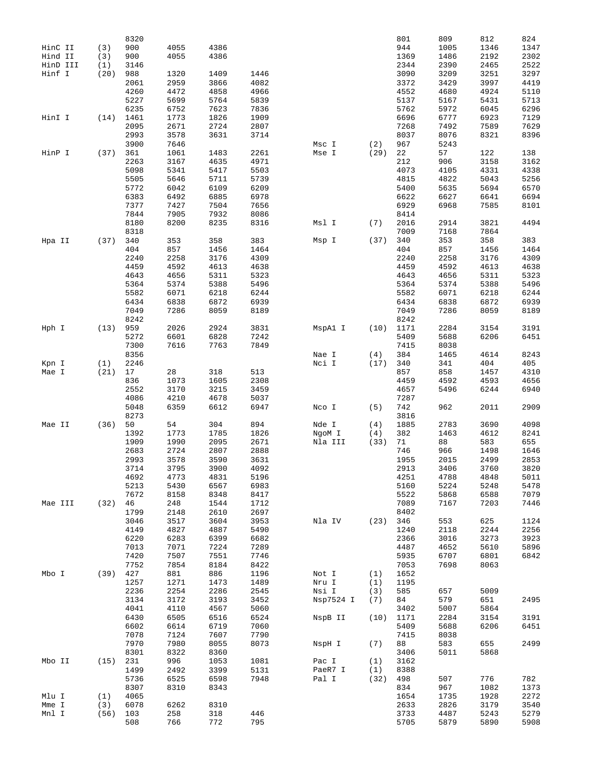|          |      | 8320 |      |      |      |           |      | 801  | 809  | 812  | 824  |
|----------|------|------|------|------|------|-----------|------|------|------|------|------|
| HinC II  | (3)  | 900  | 4055 | 4386 |      |           |      | 944  | 1005 | 1346 | 1347 |
| Hind II  | (3)  | 900  | 4055 | 4386 |      |           |      | 1369 | 1486 | 2192 | 2302 |
| HinD III | (1)  | 3146 |      |      |      |           |      | 2344 | 2390 | 2465 | 2522 |
| Hinf I   | (20) | 988  | 1320 | 1409 | 1446 |           |      | 3090 | 3209 | 3251 | 3297 |
|          |      |      |      |      |      |           |      |      |      |      |      |
|          |      | 2061 | 2959 | 3866 | 4082 |           |      | 3372 | 3429 | 3997 | 4419 |
|          |      | 4260 | 4472 | 4858 | 4966 |           |      | 4552 | 4680 | 4924 | 5110 |
|          |      | 5227 | 5699 | 5764 | 5839 |           |      | 5137 | 5167 | 5431 | 5713 |
|          |      | 6235 | 6752 | 7623 | 7836 |           |      | 5762 | 5972 | 6045 | 6296 |
| HinI I   | (14) | 1461 | 1773 | 1826 | 1909 |           |      | 6696 | 6777 | 6923 | 7129 |
|          |      | 2095 | 2671 | 2724 | 2807 |           |      | 7268 | 7492 | 7589 | 7629 |
|          |      | 2993 | 3578 | 3631 | 3714 |           |      | 8037 | 8076 | 8321 | 8396 |
|          |      | 3900 | 7646 |      |      | Msc I     | (2)  | 967  | 5243 |      |      |
| HinP I   | (37) | 361  | 1061 | 1483 | 2261 | Mse I     | (29) | 22   | 57   | 122  | 138  |
|          |      | 2263 | 3167 | 4635 | 4971 |           |      | 212  | 906  | 3158 | 3162 |
|          |      |      |      |      |      |           |      |      |      |      |      |
|          |      | 5098 | 5341 | 5417 | 5503 |           |      | 4073 | 4105 | 4331 | 4338 |
|          |      | 5505 | 5646 | 5711 | 5739 |           |      | 4815 | 4822 | 5043 | 5256 |
|          |      | 5772 | 6042 | 6109 | 6209 |           |      | 5400 | 5635 | 5694 | 6570 |
|          |      | 6383 | 6492 | 6885 | 6978 |           |      | 6622 | 6627 | 6641 | 6694 |
|          |      | 7377 | 7427 | 7504 | 7656 |           |      | 6929 | 6968 | 7585 | 8101 |
|          |      | 7844 | 7905 | 7932 | 8086 |           |      | 8414 |      |      |      |
|          |      | 8180 | 8200 | 8235 | 8316 | Msl I     | (7)  | 2016 | 2914 | 3821 | 4494 |
|          |      | 8318 |      |      |      |           |      | 7009 | 7168 | 7864 |      |
| Hpa II   | (37) | 340  | 353  | 358  | 383  | Msp I     | (37) | 340  | 353  | 358  | 383  |
|          |      | 404  | 857  | 1456 | 1464 |           |      | 404  | 857  | 1456 | 1464 |
|          |      | 2240 | 2258 | 3176 | 4309 |           |      | 2240 | 2258 | 3176 | 4309 |
|          |      |      |      |      |      |           |      |      |      |      |      |
|          |      | 4459 | 4592 | 4613 | 4638 |           |      | 4459 | 4592 | 4613 | 4638 |
|          |      | 4643 | 4656 | 5311 | 5323 |           |      | 4643 | 4656 | 5311 | 5323 |
|          |      | 5364 | 5374 | 5388 | 5496 |           |      | 5364 | 5374 | 5388 | 5496 |
|          |      | 5582 | 6071 | 6218 | 6244 |           |      | 5582 | 6071 | 6218 | 6244 |
|          |      | 6434 | 6838 | 6872 | 6939 |           |      | 6434 | 6838 | 6872 | 6939 |
|          |      | 7049 | 7286 | 8059 | 8189 |           |      | 7049 | 7286 | 8059 | 8189 |
|          |      | 8242 |      |      |      |           |      | 8242 |      |      |      |
| Hph I    | (13) | 959  | 2026 | 2924 | 3831 | MspA1 I   | (10) | 1171 | 2284 | 3154 | 3191 |
|          |      | 5272 | 6601 | 6828 | 7242 |           |      | 5409 | 5688 | 6206 | 6451 |
|          |      | 7300 | 7616 | 7763 | 7849 |           |      | 7415 | 8038 |      |      |
|          |      | 8356 |      |      |      | Nae I     | (4)  | 384  | 1465 | 4614 | 8243 |
| Kpn I    | (1)  | 2246 |      |      |      | Nci I     | (17) | 340  | 341  | 404  | 405  |
|          |      |      | 28   |      | 513  |           |      | 857  | 858  |      | 4310 |
| Mae I    | (21) | 17   |      | 318  |      |           |      |      |      | 1457 |      |
|          |      | 836  | 1073 | 1605 | 2308 |           |      | 4459 | 4592 | 4593 | 4656 |
|          |      | 2552 | 3170 | 3215 | 3459 |           |      | 4657 | 5496 | 6244 | 6940 |
|          |      | 4086 | 4210 | 4678 | 5037 |           |      | 7287 |      |      |      |
|          |      | 5048 | 6359 | 6612 | 6947 | Nco I     | (5)  | 742  | 962  | 2011 | 2909 |
|          |      | 8273 |      |      |      |           |      | 3816 |      |      |      |
| Mae II   | (36) | 50   | 54   | 304  | 894  | Nde I     | (4)  | 1885 | 2783 | 3690 | 4098 |
|          |      | 1392 | 1773 | 1785 | 1826 | NgoM I    | (4)  | 382  | 1463 | 4612 | 8241 |
|          |      | 1909 | 1990 | 2095 | 2671 | Nla III   | (33) | 71   | 88   | 583  | 655  |
|          |      | 2683 | 2724 | 2807 | 2888 |           |      | 746  | 966  | 1498 | 1646 |
|          |      | 2993 | 3578 | 3590 | 3631 |           |      | 1955 | 2015 | 2499 | 2853 |
|          |      | 3714 | 3795 | 3900 | 4092 |           |      | 2913 | 3406 | 3760 | 3820 |
|          |      | 4692 | 4773 | 4831 | 5196 |           |      | 4251 | 4788 | 4848 | 5011 |
|          |      |      |      | 6567 |      |           |      |      |      |      |      |
|          |      | 5213 | 5430 |      | 6983 |           |      | 5160 | 5224 | 5248 | 5478 |
|          |      | 7672 | 8158 | 8348 | 8417 |           |      | 5522 | 5868 | 6588 | 7079 |
| Mae III  | (32) | 46   | 248  | 1544 | 1712 |           |      | 7089 | 7167 | 7203 | 7446 |
|          |      | 1799 | 2148 | 2610 | 2697 |           |      | 8402 |      |      |      |
|          |      | 3046 | 3517 | 3604 | 3953 | Nla IV    | (23) | 346  | 553  | 625  | 1124 |
|          |      | 4149 | 4827 | 4887 | 5490 |           |      | 1240 | 2118 | 2244 | 2256 |
|          |      | 6220 | 6283 | 6399 | 6682 |           |      | 2366 | 3016 | 3273 | 3923 |
|          |      | 7013 | 7071 | 7224 | 7289 |           |      | 4487 | 4652 | 5610 | 5896 |
|          |      | 7420 | 7507 | 7551 | 7746 |           |      | 5935 | 6707 | 6801 | 6842 |
|          |      | 7752 | 7854 | 8184 | 8422 |           |      | 7053 | 7698 | 8063 |      |
| Mbo I    | (39) | 427  | 881  | 886  | 1196 | Not I     | (1)  | 1652 |      |      |      |
|          |      | 1257 | 1271 | 1473 | 1489 | Nru I     | (1)  | 1195 |      |      |      |
|          |      | 2236 | 2254 | 2286 | 2545 | Nsi I     | (3)  | 585  | 657  | 5009 |      |
|          |      |      |      |      |      |           |      |      |      |      |      |
|          |      | 3134 | 3172 | 3193 | 3452 | Nsp7524 I | (7)  | 84   | 579  | 651  | 2495 |
|          |      | 4041 | 4110 | 4567 | 5060 |           |      | 3402 | 5007 | 5864 |      |
|          |      | 6430 | 6505 | 6516 | 6524 | NspB II   | (10) | 1171 | 2284 | 3154 | 3191 |
|          |      | 6602 | 6614 | 6719 | 7060 |           |      | 5409 | 5688 | 6206 | 6451 |
|          |      | 7078 | 7124 | 7607 | 7790 |           |      | 7415 | 8038 |      |      |
|          |      | 7970 | 7980 | 8055 | 8073 | NspH I    | (7)  | 88   | 583  | 655  | 2499 |
|          |      | 8301 | 8322 | 8360 |      |           |      | 3406 | 5011 | 5868 |      |
| Mbo II   | (15) | 231  | 996  | 1053 | 1081 | Pac I     | (1)  | 3162 |      |      |      |
|          |      | 1499 | 2492 | 3399 | 5131 | PaeR7 I   | (1)  | 8388 |      |      |      |
|          |      | 5736 | 6525 | 6598 | 7948 | Pal I     | (32) | 498  | 507  | 776  | 782  |
|          |      |      |      |      |      |           |      |      |      |      |      |
|          |      | 8307 | 8310 | 8343 |      |           |      | 834  | 967  | 1082 | 1373 |
| Mlu I    | (1)  | 4065 |      |      |      |           |      | 1654 | 1735 | 1928 | 2272 |
| Mme I    | (3)  | 6078 | 6262 | 8310 |      |           |      | 2633 | 2826 | 3179 | 3540 |
| Mnl I    | (56) | 103  | 258  | 318  | 446  |           |      | 3733 | 4487 | 5243 | 5279 |
|          |      | 508  | 766  | 772  | 795  |           |      | 5705 | 5879 | 5890 | 5908 |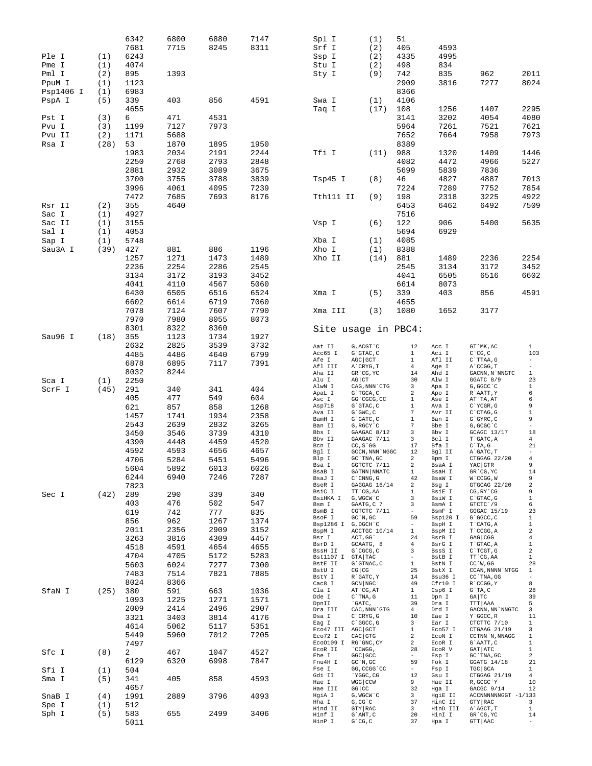|           |      | 6342        | 6800 | 6880 | 7147 | Spl I                           | (1)                                           | 51                               |                    |                                   |                                |
|-----------|------|-------------|------|------|------|---------------------------------|-----------------------------------------------|----------------------------------|--------------------|-----------------------------------|--------------------------------|
|           |      | 7681        | 7715 | 8245 | 8311 | Srf I                           | (2)                                           | 405                              | 4593               |                                   |                                |
| Ple I     | (1)  | 6243        |      |      |      | Ssp I                           | (2)                                           | 4335                             | 4995               |                                   |                                |
| Pme I     | (1)  | 4074        |      |      |      | Stu I                           | (2)                                           | 498                              | 834                |                                   |                                |
| Pml I     | (2)  | 895         | 1393 |      |      | Sty I                           | (9)                                           | 742                              | 835                | 962                               | 2011                           |
|           |      |             |      |      |      |                                 |                                               |                                  |                    |                                   |                                |
| PpuM I    | (1)  | 1123        |      |      |      |                                 |                                               | 2909                             | 3816               | 7277                              | 8024                           |
| Psp1406 I | (1)  | 6983        |      |      |      |                                 |                                               | 8366                             |                    |                                   |                                |
| PspA I    | (5)  | 339         | 403  | 856  | 4591 | Swa I                           | (1)                                           | 4106                             |                    |                                   |                                |
|           |      | 4655        |      |      |      | Taq I                           | (17)                                          | 108                              | 1256               | 1407                              | 2295                           |
| Pst I     | (3)  | 6           | 471  | 4531 |      |                                 |                                               | 3141                             | 3202               | 4054                              | 4080                           |
| Pvu I     | (3)  | 1199        | 7127 | 7973 |      |                                 |                                               | 5964                             | 7261               | 7521                              | 7621                           |
| Pvu II    | (2)  | 1171        | 5688 |      |      |                                 |                                               | 7652                             | 7664               | 7958                              | 7973                           |
|           |      |             |      |      |      |                                 |                                               |                                  |                    |                                   |                                |
| Rsa I     | (28) | 53          | 1870 | 1895 | 1950 |                                 |                                               | 8389                             |                    |                                   |                                |
|           |      | 1983        | 2034 | 2191 | 2244 | Tfi I                           | (11)                                          | 988                              | 1320               | 1409                              | 1446                           |
|           |      | 2250        | 2768 | 2793 | 2848 |                                 |                                               | 4082                             | 4472               | 4966                              | 5227                           |
|           |      | 2881        | 2932 | 3089 | 3675 |                                 |                                               | 5699                             | 5839               | 7836                              |                                |
|           |      | 3700        | 3755 | 3788 | 3839 | Tsp45 I                         | (8)                                           | 46                               | 4827               | 4887                              | 7013                           |
|           |      | 3996        | 4061 | 4095 | 7239 |                                 |                                               | 7224                             | 7289               | 7752                              | 7854                           |
|           |      | 7472        | 7685 | 7693 | 8176 | Tth111 II                       | (9)                                           | 198                              | 2318               | 3225                              | 4922                           |
| Rsr II    | (2)  | 355         | 4640 |      |      |                                 |                                               | 6453                             | 6462               | 6492                              | 7509                           |
|           |      |             |      |      |      |                                 |                                               |                                  |                    |                                   |                                |
| Sac I     | (1)  | 4927        |      |      |      |                                 |                                               | 7516                             |                    |                                   |                                |
| Sac II    | (1)  | 3155        |      |      |      | Vsp I                           | (6)                                           | 122                              | 906                | 5400                              | 5635                           |
| Sal I     | (1)  | 4053        |      |      |      |                                 |                                               | 5694                             | 6929               |                                   |                                |
| Sap I     | (1)  | 5748        |      |      |      | Xba I                           | (1)                                           | 4085                             |                    |                                   |                                |
| Sau3A I   | (39) | 427         | 881  | 886  | 1196 | Xho I                           | (1)                                           | 8388                             |                    |                                   |                                |
|           |      | 1257        | 1271 | 1473 | 1489 | Xho II                          | (14)                                          | 881                              | 1489               | 2236                              | 2254                           |
|           |      | 2236        | 2254 | 2286 | 2545 |                                 |                                               | 2545                             | 3134               | 3172                              | 3452                           |
|           |      | 3134        | 3172 | 3193 | 3452 |                                 |                                               | 4041                             | 6505               | 6516                              | 6602                           |
|           |      |             |      |      |      |                                 |                                               |                                  |                    |                                   |                                |
|           |      | 4041        | 4110 | 4567 | 5060 |                                 |                                               | 6614                             | 8073               |                                   |                                |
|           |      | 6430        | 6505 | 6516 | 6524 | Xma I                           | (5)                                           | 339                              | 403                | 856                               | 4591                           |
|           |      | 6602        | 6614 | 6719 | 7060 |                                 |                                               | 4655                             |                    |                                   |                                |
|           |      | 7078        | 7124 | 7607 | 7790 | Xma III                         | (3)                                           | 1080                             | 1652               | 3177                              |                                |
|           |      | 7970        | 7980 | 8055 | 8073 |                                 |                                               |                                  |                    |                                   |                                |
|           |      | 8301        | 8322 | 8360 |      | Site usage in PBC4:             |                                               |                                  |                    |                                   |                                |
| Sau96 I   | (18) | 355         | 1123 | 1734 | 1927 |                                 |                                               |                                  |                    |                                   |                                |
|           |      | 2632        | 2825 | 3539 | 3732 |                                 |                                               |                                  |                    |                                   |                                |
|           |      |             |      |      |      | Aat II<br>Acc65 I               | G, ACGT `C<br>G`GTAC, C                       | 12                               | Acc I<br>Aci I     | GT `MK, AC<br>$C^{\dagger}CG, C$  | $\mathbf{1}$<br>103            |
|           |      | 4485        | 4486 | 4640 | 6799 | Afe I                           | AGC GCT                                       | $\mathbf{1}$<br>$\mathbf{1}$     | Afl II             | C`TTAA, G                         | $\overline{\phantom{a}}$       |
|           |      | 6878        | 6895 | 7117 | 7391 | Afl III                         | A`CRYG, T                                     | 4                                | Age I              | A`CCGG, T                         | $\overline{\phantom{a}}$       |
|           |      | 8032        | 8244 |      |      | Aha II                          | GR'CG, YC                                     | 14                               | Ahd I              | GACNN, N`NNGTC                    | $\mathbf{1}$                   |
| Sca I     | (1)  | 2250        |      |      |      | Alu I                           | $AG$ $CT$                                     | 30                               | Alw I              | GGATC 8/9                         | 23                             |
| ScrF I    | (45) | 291         | 340  | 341  | 404  | AlwN I                          | CAG, NNN CTG                                  | 3                                | Apa I              | G, GGCC `C                        | $\mathbf{1}$<br>6              |
|           |      | 405         | 477  | 549  | 604  | ApaL I<br>Asc I                 | G`TGCA, C<br>GG`CGCG, CC                      | 2<br>$\mathbf{1}$                | Apo I<br>Ase I     | R`AATT, Y<br>AT`TA, AT            | 6                              |
|           |      | 621         | 857  | 858  | 1268 | Asp718                          | G`GTAC, C                                     | $\mathbf{1}$                     | Ava I              | C`YCGR, G                         | 9                              |
|           |      |             |      |      |      | Ava II                          | $G$ $GWC$ , $C$                               | 7                                | Avr II             | $C$ $CTAG$ , $G$                  | $\,1$                          |
|           |      | 1457        | 1741 | 1934 | 2358 | BamH I                          | G`GATC, C                                     | 1                                | Ban I              | G`GYRC, C                         | 9                              |
|           |      | 2543        | 2639 | 2832 | 3265 | Ban II                          | G, RGCY `C                                    | 7                                | Bbe I              | G, GCGC `C                        | $\overline{\phantom{a}}$       |
|           |      | 3450        | 3546 | 3739 | 4310 | Bbs I<br>Bbv II                 | GAAGAC 8/12<br>GAAGAC 7/11                    | 3<br>$\overline{\mathbf{3}}$     | Bby I<br>Bcl I     | GCAGC 13/17<br>T`GATC, A          | 18<br>$\overline{4}$           |
|           |      | 4390        | 4448 | 4459 | 4520 | Bcn I                           | $CC, S$ GG                                    | 17                               | Bfa I              | $C^T A$ , G                       | 21                             |
|           |      | 4592        | 4593 | 4656 | 4657 | Bql I                           | GCCN, NNN 'NGGC                               | 12                               | Bgl II             | A`GATC, T                         | $\overline{\phantom{a}}$       |
|           |      | 4706        | 5284 | 5451 | 5496 | Blp I                           | GC `TNA, GC                                   | 2                                | Bpm I              | CTGGAG 22/20                      | $\overline{4}$                 |
|           |      | 5604        | 5892 | 6013 | 6026 | Bsa I                           | GGTCTC 7/11                                   | $\overline{a}$                   | BsaA I             | YAC GTR                           | 9                              |
|           |      | 6244        | 6940 | 7246 | 7287 | BsaB I                          | GATNN NNATC                                   | $\mathbf{1}$                     | BsaH I             | GR CG, YC                         | 14<br>9                        |
|           |      | 7823        |      |      |      | BsaJ I<br>BseR I                | $\text{C}$<br>^ CNNG , G<br>GAGGAG 16/14      | 42<br>2                          | BsaW I<br>Bsg I    | W`CCGG, W<br>GTGCAG 22/20         | $\mathbf 2$                    |
|           |      |             |      |      |      | BsiC I                          | TT `CG, AA                                    | 1                                | BsiE I             | CG, RY CG                         | 9                              |
| Sec I     | (42) | 289         | 290  | 339  | 340  | BsiHKA I                        | G, WGCW`C                                     | 3                                | BsiW I             | C`GTAC, G                         | $\mathbf{1}$                   |
|           |      | 403         | 476  | 502  | 547  | Bsm I                           | GAATG, C 7                                    | 3                                | BsmA I             | GTCTC 79                          | 6                              |
|           |      | 619         | 742  | 777  | 835  | BsmB I                          | CGTCTC 7/11                                   | $\sim$<br>59                     | BsmF I<br>Bsp120 I | GGGAC 15/19                       | 23<br>$\mathbf{1}$             |
|           |      | 856         | 962  | 1267 | 1374 | BsoF I<br>Bsp1286 I G, DGCH'C   | $GC^N$ , $GC$                                 |                                  | BspH I             | G`GGCC, C<br>T`CATG, A            | $\mathbf{1}$                   |
|           |      | 2011        | 2356 | 2909 | 3152 | BspM I                          | ACCTGC 10/14                                  | $\mathbf{1}$                     | BspM II            | T`CCGG, A                         | $\overline{a}$                 |
|           |      | 3263        | 3816 | 4309 | 4457 | Bsr I                           | ACT, GG                                       | 24                               | BsrB I             | GAG CGG                           | $\overline{4}$                 |
|           |      | 4518        | 4591 | 4654 | 4655 | BsrD I                          | GCAATG, 8                                     | 4                                | BsrG I             | T`GTAC, A                         | $\mathbf{1}$                   |
|           |      | 4704        | 4705 | 5172 | 5283 | BssH II<br>Bst1107 I GTA TAC    | G`CGCG, C                                     | 3<br>$\overline{\phantom{a}}$    | BssS I<br>BstB I   | C`TCGT, G<br>TT CG, AA            | $\overline{a}$<br>$\mathbf{1}$ |
|           |      | 5603        | 6024 | 7277 | 7300 | BstE II                         | G`GTNAC, C                                    | 1                                | BstN I             | $CC^W$ , GG                       | 28                             |
|           |      |             |      |      |      | BstU I                          | $CG$ $CG$                                     | 25                               | BstX I             | CCAN, NNNN `NTGG                  | $\mathbf{1}$                   |
|           |      | 7483        | 7514 | 7821 | 7885 | BstY I                          | R`GATC, Y                                     | 14                               | Bsu36 I            | CC `TNA, GG                       | $\overline{\phantom{a}}$       |
|           |      | 8024        | 8366 |      |      | Cac8 I                          | $GCN$ $NGC$                                   | 49                               | Cfr10 I            | R`CCGG, Y                         | 8                              |
| SfaN I    | (25) | 380         | 591  | 663  | 1036 | Cla I<br>Dde I                  | AT CG, AT<br>$C$ TNA, $G$                     | $\mathbf{1}$<br>11               | Csp6 I<br>Dpn I    | $G$ TA, $C$<br>GA TC              | 28<br>39                       |
|           |      | 1093        | 1225 | 1271 | 1571 | DpnII                           | `GATC,                                        | 39                               | Dra I              | TTT AAA                           | 5                              |
|           |      | 2009        | 2414 | 2496 | 2907 | Dra III                         | ${\rm CAC}$ , ${\rm NNN}$ $\hat{}\;{\rm GTG}$ | $\overline{4}$                   | Drd I              | GACNN, NN `NNGTC                  | 3                              |
|           |      | 3321        | 3403 | 3814 | 4176 | Dsa I                           | C`CRYG, G                                     | 10                               | Eae I              | Y`GGCC, R                         | 11                             |
|           |      | 4614        | 5062 | 5117 | 5351 | Eag I                           | C `GGCC, G                                    | 3                                | Ear I              | CTCTTC 7/10                       | $\mathbf{1}$                   |
|           |      | 5449        | 5960 | 7012 | 7205 | Eco47 III AGC GCT               |                                               | $\mathbf{1}$                     | Eco57 I            | CTGAAG 21/19                      | 3<br>$\mathbf{1}$              |
|           |      | 7497        |      |      |      | Eco72 I<br>Eco0109 I RG'GNC, CY | $CAC$ GTG                                     | $\overline{a}$<br>$\overline{a}$ | ECON I<br>ECOR I   | CCTNN `N, NNAGG<br>G`AATT, C      | $\mathbf{1}$                   |
|           |      |             |      |      |      | ECOR II                         | CCWGG,                                        | 28                               | ECOR V             | GAT ATC                           | $\mathbf{1}$                   |
| Sfc I     | (8)  | 2           | 467  | 1047 | 4527 | Ehe I                           | GGC GCC                                       |                                  | Esp I              | GC `TNA, GC                       | $\overline{a}$                 |
|           |      |             | 6320 | 6998 | 7847 | Fnu4H I                         | GC'N, GC                                      | 59                               | Fok I              | GGATG 14/18                       | 21                             |
|           |      | 6129        |      |      |      |                                 | GG, CCGG 'CC                                  | $\sim$                           |                    |                                   |                                |
| Sfi I     | (1)  | 504         |      |      |      | Fse I                           |                                               |                                  | Fsp I              | TGC GCA                           | $\mathbf{1}$                   |
| Sma I     | (5)  | 341         | 405  | 858  | 4593 | Gdi II                          | `YGGC, CG                                     | 12                               | Gsu I              | CTGGAG 21/19                      | $\overline{4}$                 |
|           |      |             |      |      |      | Hae I                           | WGG CCW                                       | 9                                | Hae II             | R, GCGC `Y                        | 10                             |
|           |      | 4657        |      |      |      | Hae III<br>HgiA I               | $GG$ $CC$<br>G, WGCW`C                        | 32<br>$\overline{3}$             | Hga I<br>HgiE II   | GACGC 9/14<br>ACCNNNNNNGGT -1/133 | 12                             |
| SnaB I    | (4)  | 1991        | 2889 | 3796 | 4093 | Hha I                           | $G$ , $CG$ $C$                                | 37                               | HinC II            | GTY RAC                           | 3                              |
| Spe I     | (1)  | 512         |      |      |      | Hind II                         | GTY RAC                                       | $\overline{3}$                   | HinD III           | A`AGCT, T                         | $\mathbf{1}$                   |
| Sph I     | (5)  | 583<br>5011 | 655  | 2499 | 3406 | Hinf I<br>HinP I                | G`ANT, C<br>$G$ $^{\circ}$ CG, C              | 20<br>37                         | HinI I<br>Hpa I    | GR CG, YC<br>GTT AAC              | 14                             |